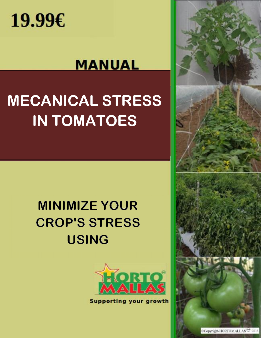

## **MANUAL**

# **MECANICAL STRESS IN TOMATOES**

## **MINIMIZE YOUR CROP'S STRESS USING**



**Supporting your growth** 

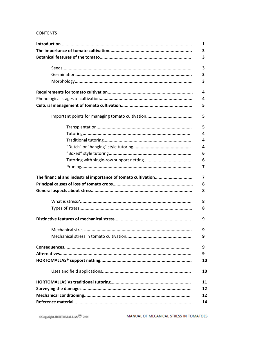#### **CONTENTS**

|                                                               | 1  |
|---------------------------------------------------------------|----|
|                                                               | З  |
|                                                               | 3  |
|                                                               | 3  |
|                                                               | З  |
|                                                               | 3  |
|                                                               | 4  |
|                                                               | 4  |
|                                                               | 5  |
|                                                               | 5  |
|                                                               | 5  |
|                                                               | 4  |
|                                                               | 4  |
|                                                               | 4  |
|                                                               | 6  |
|                                                               | 6  |
|                                                               | 7  |
| The financial and industrial importance of tomato cultivation | 7  |
|                                                               | 8  |
|                                                               | 8  |
|                                                               | 8  |
|                                                               | 8  |
|                                                               | 9  |
|                                                               | 9  |
|                                                               | 9  |
|                                                               | 9  |
|                                                               | 9  |
|                                                               | 10 |
|                                                               | 10 |
|                                                               | 11 |
|                                                               | 12 |
|                                                               | 12 |
|                                                               | 14 |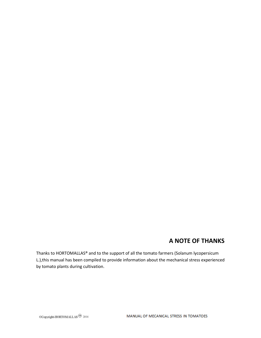### **A NOTE OF THANKS**

Thanks to HORTOMALLAS® and to the support of all the tomato farmers (Solanum lycopersicum L.),this manual has been compiled to provide information about the mechanical stress experienced by tomato plants during cultivation.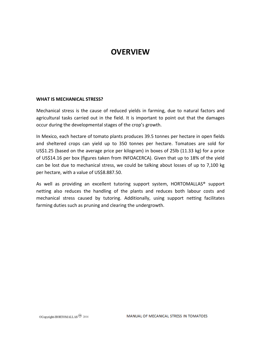### **OVERVIEW**

#### **WHAT IS MECHANICAL STRESS?**

Mechanical stress is the cause of reduced yields in farming, due to natural factors and agricultural tasks carried out in the field. It is important to point out that the damages occur during the developmental stages of the crop's growth.

In Mexico, each hectare of tomato plants produces 39.5 tonnes per hectare in open fields and sheltered crops can yield up to 350 tonnes per hectare. Tomatoes are sold for US\$1.25 (based on the average price per kilogram) in boxes of 25lb (11.33 kg) for a price of US\$14.16 per box (figures taken from INFOACERCA). Given that up to 18% of the yield can be lost due to mechanical stress, we could be talking about losses of up to 7,100 kg per hectare, with a value of US\$8.887.50.

As well as providing an excellent tutoring support system, HORTOMALLAS® support netting also reduces the handling of the plants and reduces both labour costs and mechanical stress caused by tutoring. Additionally, using support netting facilitates farming duties such as pruning and clearing the undergrowth.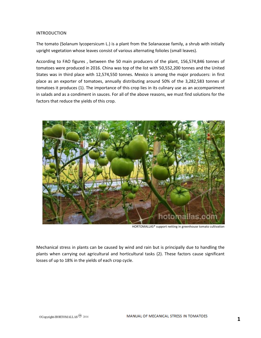#### INTRODUCTION

The tomato (Solanum lycopersicum L.) is a plant from the Solanaceae family, a shrub with initially upright vegetation whose leaves consist of various alternating folioles (small leaves).

According to FAO figures , between the 50 main producers of the plant, 156,574,846 tonnes of tomatoes were produced in 2016. China was top of the list with 50,552,200 tonnes and the United States was in third place with 12,574,550 tonnes. Mexico is among the major producers: in first place as an exporter of tomatoes, annually distributing around 50% of the 3,282,583 tonnes of tomatoes it produces (1). The importance of this crop lies in its culinary use as an accompaniment in salads and as a condiment in sauces. For all of the above reasons, we must find solutions for the factors that reduce the yields of this crop.



HORTOMALLAS® support netting in greenhouse tomato cultivation

Mechanical stress in plants can be caused by wind and rain but is principally due to handling the plants when carrying out agricultural and horticultural tasks (2). These factors cause significant losses of up to 18% in the yields of each crop cycle.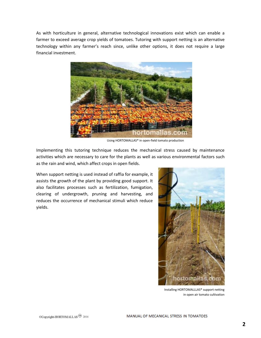As with horticulture in general, alternative technological innovations exist which can enable a farmer to exceed average crop yields of tomatoes. Tutoring with support netting is an alternative technology within any farmer's reach since, unlike other options, it does not require a large financial investment.



Using HORTOMALLAS® in open-field tomato production

Implementing this tutoring technique reduces the mechanical stress caused by maintenance activities which are necessary to care for the plants as well as various environmental factors such as the rain and wind, which affect crops in open fields.

When support netting is used instead of raffia for example, it assists the growth of the plant by providing good support. It also facilitates processes such as fertilization, fumigation, clearing of undergrowth, pruning and harvesting, and reduces the occurrence of mechanical stimuli which reduce yields.



Installing HORTOMALLLAS® support netting in open air tomato cultivation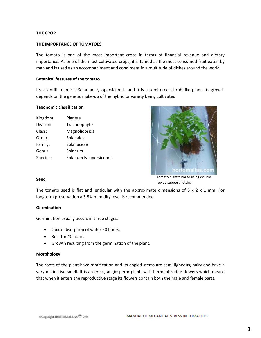#### **THE CROP**

#### **THE IMPORTANCE OF TOMATOES**

The tomato is one of the most important crops in terms of financial revenue and dietary importance. As one of the most cultivated crops, it is famed as the most consumed fruit eaten by man and is used as an accompaniment and condiment in a multitude of dishes around the world.

#### **Botanical features of the tomato**

Its scientific name is Solanum lycopersicum L. and it is a semi-erect shrub-like plant. Its growth depends on the genetic make-up of the hybrid or variety being cultivated.

#### **Taxonomic classification**

Kingdom: Plantae Division: Tracheophyte Class: Magnoliopsida Order: Solanales Family: Solanaceae Genus: Solanum Species: Solanum lycopersicum L.



Tomato plant tutored using double rowed support netting

The tomato seed is flat and lenticular with the approximate dimensions of  $3 \times 2 \times 1$  mm. For longterm preservation a 5.5% humidity level is recommended.

#### **Germination**

**Seed**

Germination usually occurs in three stages:

- Quick absorption of water 20 hours.
- Rest for 40 hours.
- Growth resulting from the germination of the plant.

#### **Morphology**

The roots of the plant have ramification and its angled stems are semi-ligneous, hairy and have a very distinctive smell. It is an erect, angiosperm plant, with hermaphrodite flowers which means that when it enters the reproductive stage its flowers contain both the male and female parts.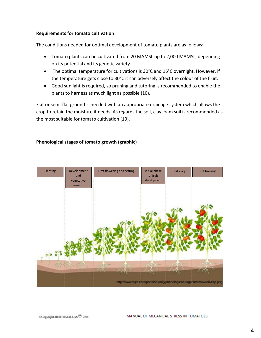#### **Requirements for tomato cultivation**

The conditions needed for optimal development of tomato plants are as follows:

- Tomato plants can be cultivated from 20 MAMSL up to 2,000 MAMSL, depending on its potential and its genetic variety.
- The optimal temperature for cultivations is 30°C and 16°C overnight. However, if the temperature gets close to 30°C it can adversely affect the colour of the fruit.
- Good sunlight is required, so pruning and tutoring is recommended to enable the plants to harness as much light as possible (10).

Flat or semi-flat ground is needed with an appropriate drainage system which allows the crop to retain the moisture it needs. As regards the soil, clay loam soil is recommended as the most suitable for tomato cultivation (10).

#### **Phenological stages of tomato growth (graphic)**

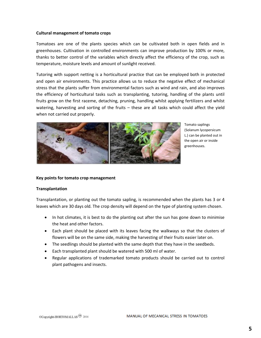#### **Cultural management of tomato crops**

Tomatoes are one of the plants species which can be cultivated both in open fields and in greenhouses. Cultivation in controlled environments can improve production by 100% or more, thanks to better control of the variables which directly affect the efficiency of the crop, such as temperature, moisture levels and amount of sunlight received.

Tutoring with support netting is a horticultural practice that can be employed both in protected and open air environments. This practice allows us to reduce the negative effect of mechanical stress that the plants suffer from environmental factors such as wind and rain, and also improves the efficiency of horticultural tasks such as transplanting, tutoring, handling of the plants until fruits grow on the first raceme, detaching, pruning, handling whilst applying fertilizers and whilst watering, harvesting and sorting of the fruits – these are all tasks which could affect the yield when not carried out properly.



Tomato saplings (Solanum lycopersicum L.) can be planted out in the open air or inside greenhouses.

#### **Key points for tomato crop management**

#### **Transplantation**

Transplantation, or planting out the tomato sapling, is recommended when the plants has 3 or 4 leaves which are 30 days old. The crop density will depend on the type of planting system chosen.

- In hot climates, it is best to do the planting out after the sun has gone down to minimise the heat and other factors.
- Each plant should be placed with its leaves facing the walkways so that the clusters of flowers will be on the same side, making the harvesting of their fruits easier later on.
- The seedlings should be planted with the same depth that they have in the seedbeds.
- Each transplanted plant should be watered with 500 ml of water.
- Regular applications of trademarked tomato products should be carried out to control plant pathogens and insects.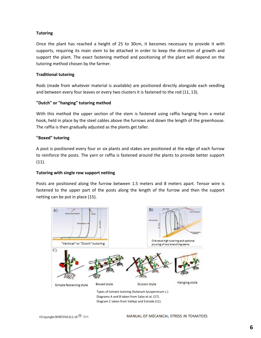#### **Tutoring**

Once the plant has reached a height of 25 to 30cm, it becomes necessary to provide it with supports, requiring its main stem to be attached in order to keep the direction of growth and support the plant. The exact fastening method and positioning of the plant will depend on the tutoring method chosen by the farmer.

#### **Traditional tutoring**

Rods (made from whatever material is available) are positioned directly alongside each seedling and between every four leaves or every two clusters it is fastened to the rod (11, 13).

#### **"Dutch" or "hanging" tutoring method**

With this method the upper section of the stem is fastened using raffia hanging from a metal hook, held in place by the steel cables above the furrows and down the length of the greenhouse. The raffia is then gradually adjusted as the plants get taller.

#### **"Boxed" tutoring**

A post is positioned every four or six plants and stakes are positioned at the edge of each furrow to reinforce the posts. The yarn or raffia is fastened around the plants to provide better support (11).

#### **Tutoring with single row support netting**

Posts are positioned along the furrow between 1.5 meters and 8 meters apart. Tensor wire is fastened to the upper part of the posts along the length of the furrow and then the support netting can be put in place (15).



Diagrams A and B taken from Salas et al. (17). Diagram C taken from Vallejo and Estrada (11).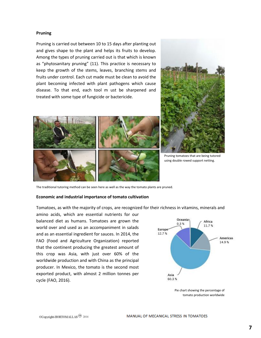#### **Pruning**

Pruning is carried out between 10 to 15 days after planting out and gives shape to the plant and helps its fruits to develop. Among the types of pruning carried out is that which is known as "phytosanitary pruning" (11). This practice is necessary to keep the growth of the stems, leaves, branching stems and fruits under control. Each cut made must be clean to avoid the plant becoming infected with plant pathogens which cause disease. To that end, each tool m ust be sharpened and treated with some type of fungicide or bactericide.





Pruning tomatoes that are being tutored using double rowed support netting.

The traditional tutoring method can be seen here as well as the way the tomato plants are pruned.

#### **Economic and industrial importance of tomato cultivation**

Tomatoes, as with the majority of crops, are recognized for their richness in vitamins, minerals and

amino acids, which are essential nutrients for our balanced diet as humans. Tomatoes are grown the world over and used as an accompaniment in salads and as an essential ingredient for sauces. In 2014, the FAO (Food and Agriculture Organization) reported that the continent producing the greatest amount of this crop was Asia, with just over 60% of the worldwide production and with China as the principal producer. In Mexico, the tomato is the second most exported product, with almost 2 million tonnes per cycle (FAO, 2016).



Pie chart showing the percentage of tomato production worldwide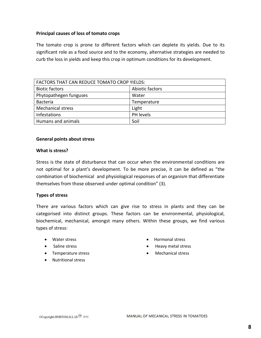#### **Principal causes of loss of tomato crops**

The tomato crop is prone to different factors which can deplete its yields. Due to its significant role as a food source and to the economy, alternative strategies are needed to curb the loss in yields and keep this crop in optimum conditions for its development.

| FACTORS THAT CAN REDUCE TOMATO CROP YIELDS: |                 |  |
|---------------------------------------------|-----------------|--|
| <b>Biotic factors</b>                       | Abiotic factors |  |
| Phytopathegen funguses                      | Water           |  |
| <b>Bacteria</b>                             | Temperature     |  |
| <b>Mechanical stress</b>                    | Light           |  |
| <b>Infestations</b>                         | PH levels       |  |
| Humans and animals                          | Soil            |  |

#### **General points about stress**

#### **What is stress?**

Stress is the state of disturbance that can occur when the environmental conditions are not optimal for a plant's development. To be more precise, it can be defined as "the combination of biochemical and physiological responses of an organism that differentiate themselves from those observed under optimal condition" (3).

#### **Types of stress**

There are various factors which can give rise to stress in plants and they can be categorised into distinct groups. These factors can be environmental, physiological, biochemical, mechanical, amongst many others. Within these groups, we find various types of stress:

- Water stress
- Saline stress
- Temperature stress
- Nutritional stress
- Hormonal stress
- Heavy metal stress
- Mechanical stress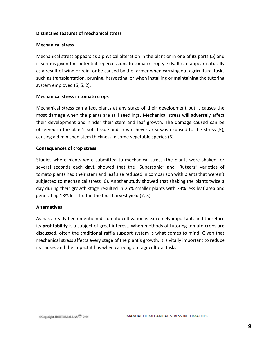#### **Distinctive features of mechanical stress**

#### **Mechanical stress**

Mechanical stress appears as a physical alteration in the plant or in one of its parts (5) and is serious given the potential repercussions to tomato crop yields. It can appear naturally as a result of wind or rain, or be caused by the farmer when carrying out agricultural tasks such as transplantation, pruning, harvesting, or when installing or maintaining the tutoring system employed (6, 5, 2).

#### **Mechanical stress in tomato crops**

Mechanical stress can affect plants at any stage of their development but it causes the most damage when the plants are still seedlings. Mechanical stress will adversely affect their development and hinder their stem and leaf growth. The damage caused can be observed in the plant's soft tissue and in whichever area was exposed to the stress (5), causing a diminished stem thickness in some vegetable species (6).

#### **Consequences of crop stress**

Studies where plants were submitted to mechanical stress (the plants were shaken for several seconds each day), showed that the "Supersonic" and "Rutgers" varieties of tomato plants had their stem and leaf size reduced in comparison with plants that weren't subjected to mechanical stress (6). Another study showed that shaking the plants twice a day during their growth stage resulted in 25% smaller plants with 23% less leaf area and generating 18% less fruit in the final harvest yield (7, 5).

#### **Alternatives**

As has already been mentioned, tomato cultivation is extremely important, and therefore its **profitability** is a subject of great interest. When methods of tutoring tomato crops are discussed, often the traditional raffia support system is what comes to mind. Given that mechanical stress affects every stage of the plant's growth, it is vitally important to reduce its causes and the impact it has when carrying out agricultural tasks.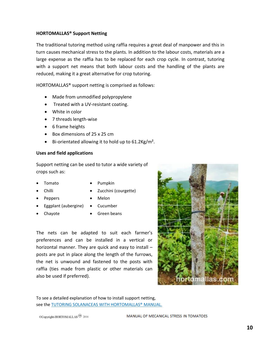#### **HORTOMALLAS® Support Netting**

The traditional tutoring method using raffia requires a great deal of manpower and this in turn causes mechanical stress to the plants. In addition to the labour costs, materials are a large expense as the raffia has to be replaced for each crop cycle. In contrast, tutoring with a support net means that both labour costs and the handling of the plants are reduced, making it a great alternative for crop tutoring.

HORTOMALLAS® support netting is comprised as follows:

- Made from unmodified polypropylene
- Treated with a UV-resistant coating.
- White in color
- 7 threads length-wise
- 6 frame heights
- Box dimensions of 25 x 25 cm
- Bi-orientated allowing it to hold up to 61.2Kg/m².

#### **Uses and field applications**

Support netting can be used to tutor a wide variety of crops such as:

- 
- 
- Tomato . Pumpkin
	- Chilli **Chilli Chilli Chilli Chilli Courgette**)
- Peppers Melon
	-
- Eggplant (aubergine) Cucumber
- 
- 
- Chayote **Green beans**

The nets can be adapted to suit each farmer's preferences and can be installed in a vertical or horizontal manner. They are quick and easy to install – posts are put in place along the length of the furrows, the net is unwound and fastened to the posts with raffia (ties made from plastic or other materials can also be used if preferred).



To see a detailed explanation of how to install support netting, see the TUTORING SOLANACEAS WITH HORTOMALLAS® MANUAL.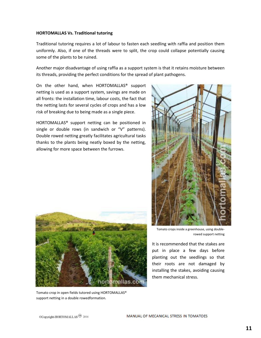#### **HORTOMALLAS Vs. Traditional tutoring**

Traditional tutoring requires a lot of labour to fasten each seedling with raffia and position them uniformly. Also, if one of the threads were to split, the crop could collapse potentially causing some of the plants to be ruined.

Another major disadvantage of using raffia as a support system is that it retains moisture between its threads, providing the perfect conditions for the spread of plant pathogens.

On the other hand, when HORTOMALLAS® support netting is used as a support system, savings are made on all fronts: the installation time, labour costs, the fact that the netting lasts for several cycles of crops and has a low risk of breaking due to being made as a single piece.

HORTOMALLAS® support netting can be positioned in single or double rows (in sandwich or "V" patterns). Double rowed netting greatly facilitates agricultural tasks thanks to the plants being neatly boxed by the netting, allowing for more space between the furrows.



Tomato crop in open fields tutored using HORTOMALLAS® support netting in a double rowedformation.



Tomato crops inside a greenhouse, using doublerowed support netting

It is recommended that the stakes are put in place a few days before planting out the seedlings so that their roots are not damaged by installing the stakes, avoiding causing them mechanical stress.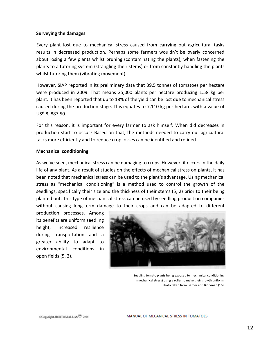#### **Surveying the damages**

Every plant lost due to mechanical stress caused from carrying out agricultural tasks results in decreased production. Perhaps some farmers wouldn't be overly concerned about losing a few plants whilst pruning (contaminating the plants), when fastening the plants to a tutoring system (strangling their stems) or from constantly handling the plants whilst tutoring them (vibrating movement).

However, SIAP reported in its preliminary data that 39.5 tonnes of tomatoes per hectare were produced in 2009. That means 25,000 plants per hectare producing 1.58 kg per plant. It has been reported that up to 18% of the yield can be lost due to mechanical stress caused during the production stage. This equates to 7,110 kg per hectare, with a value of US\$ 8, 887.50.

For this reason, it is important for every farmer to ask himself: When did decreases in production start to occur? Based on that, the methods needed to carry out agricultural tasks more efficiently and to reduce crop losses can be identified and refined.

#### **Mechanical conditioning**

As we've seen, mechanical stress can be damaging to crops. However, it occurs in the daily life of any plant. As a result of studies on the effects of mechanical stress on plants, it has been noted that mechanical stress can be used to the plant's advantage. Using mechanical stress as "mechanical conditioning" is a method used to control the growth of the seedlings, specifically their size and the thickness of their stems (5, 2) prior to their being planted out. This type of mechanical stress can be used by seedling production companies without causing long-term damage to their crops and can be adapted to different

production processes. Among its benefits are uniform seedling height, increased resilience during transportation and a greater ability to adapt to environmental conditions in open fields (5, 2).



Seedling tomato plants being exposed to mechanical conditioning (mechanical stress) using a roller to make their growth uniform. Photo taken from Garner and Björkman (16).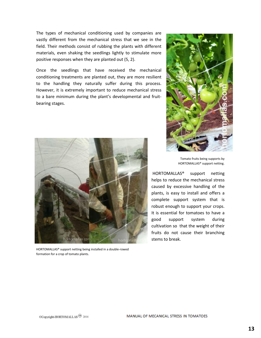The types of mechanical conditioning used by companies are vastly different from the mechanical stress that we see in the field. Their methods consist of rubbing the plants with different materials, even shaking the seedlings lightly to stimulate more positive responses when they are planted out (5, 2).

Once the seedlings that have received the mechanical conditioning treatments are planted out, they are more resilient to the handling they naturally suffer during this process. However, it is extremely important to reduce mechanical stress to a bare minimum during the plant's developmental and fruitbearing stages.



HORTOMALLAS® support netting being installed in a double-rowed formation for a crop of tomato plants.



Tomato fruits being supports by HORTOMALLAS® support netting.

HORTOMALLAS® support netting helps to reduce the mechanical stress caused by excessive handling of the plants, is easy to install and offers a complete support system that is robust enough to support your crops. It is essential for tomatoes to have a good support system during cultivation so that the weight of their fruits do not cause their branching stems to break.